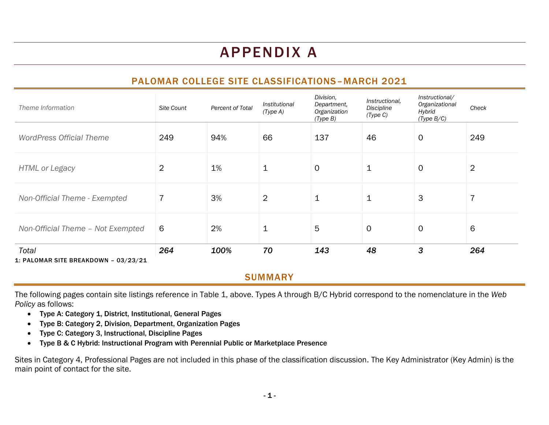# APPENDIX A

# PALOMAR COLLEGE SITE CLASSIFICATIONS–MARCH 2021

| Theme Information                             | Site Count     | Percent of Total | Institutional<br>(Type A) | Division,<br>Department,<br>Organization<br>(Type B) | Instructional,<br>Discipline<br>(Type C) | Instructional/<br>Organizational<br>Hybrid<br>(Type B/C) | Check          |
|-----------------------------------------------|----------------|------------------|---------------------------|------------------------------------------------------|------------------------------------------|----------------------------------------------------------|----------------|
| <b>WordPress Official Theme</b>               | 249            | 94%              | 66                        | 137                                                  | 46                                       | $\mathbf 0$                                              | 249            |
| <b>HTML or Legacy</b>                         | $\overline{2}$ | 1%               | 1                         | $\mathsf{O}$                                         | 1                                        | $\mathbf 0$                                              | $\overline{2}$ |
| Non-Official Theme - Exempted                 | $\overline{7}$ | 3%               | $\overline{2}$            | $\mathbf 1$                                          | 1                                        | 3                                                        | $\overline{7}$ |
| Non-Official Theme - Not Exempted             | 6              | 2%               | 1                         | 5                                                    | $\mathbf 0$                              | $\mathbf 0$                                              | 6              |
| Total<br>1: PALOMAR SITE BREAKDOWN - 03/23/21 | 264            | 100%             | 70                        | 143                                                  | 48                                       | 3                                                        | 264            |

### **SUMMARY**

The following pages contain site listings reference in Table 1, above. Types A through B/C Hybrid correspond to the nomenclature in the *Web Policy* as follows:

- Type A: Category 1, District, Institutional, General Pages
- Type B: Category 2, Division, Department, Organization Pages
- Type C: Category 3, Instructional, Discipline Pages
- Type B & C Hybrid: Instructional Program with Perennial Public or Marketplace Presence

Sites in Category 4, Professional Pages are not included in this phase of the classification discussion. The Key Administrator (Key Admin) is the main point of contact for the site.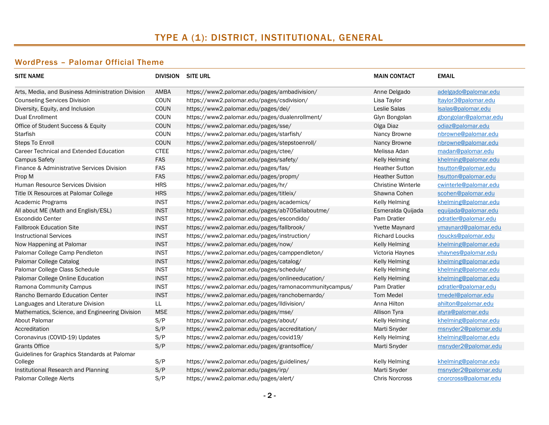# TYPE A (1): DISTRICT, INSTITUTIONAL, GENERAL

#### WordPress – Palomar Official Theme

| <b>SITE NAME</b>                                  |             | <b>DIVISION SITE URL</b>                              | <b>MAIN CONTACT</b>       | <b>EMAIL</b>          |
|---------------------------------------------------|-------------|-------------------------------------------------------|---------------------------|-----------------------|
| Arts, Media, and Business Administration Division | AMBA        | https://www2.palomar.edu/pages/ambadivision/          | Anne Delgado              | adelgado@palomar.edu  |
| <b>Counseling Services Division</b>               | COUN        | https://www2.palomar.edu/pages/csdivision/            | Lisa Taylor               | Itaylor3@palomar.edu  |
| Diversity, Equity, and Inclusion                  | <b>COUN</b> | https://www2.palomar.edu/pages/dei/                   | Leslie Salas              | Isalas@palomar.edu    |
| <b>Dual Enrollment</b>                            | COUN        | https://www2.palomar.edu/pages/dualenrollment/        | Glyn Bongolan             | gbongolan@palomar.edu |
| Office of Student Success & Equity                | <b>COUN</b> | https://www2.palomar.edu/pages/sse/                   | Olga Diaz                 | odiaz@palomar.edu     |
| Starfish                                          | COUN        | https://www2.palomar.edu/pages/starfish/              | Nancy Browne              | nbrowne@palomar.edu   |
| <b>Steps To Enroll</b>                            | <b>COUN</b> | https://www2.palomar.edu/pages/stepstoenroll/         | Nancy Browne              | nbrowne@palomar.edu   |
| Career Technical and Extended Education           | <b>CTEE</b> | https://www2.palomar.edu/pages/ctee/                  | Melissa Adan              | madan@palomar.edu     |
| <b>Campus Safety</b>                              | <b>FAS</b>  | https://www2.palomar.edu/pages/safety/                | <b>Kelly Helming</b>      | khelming@palomar.edu  |
| Finance & Administrative Services Division        | <b>FAS</b>  | https://www2.palomar.edu/pages/fas/                   | <b>Heather Sutton</b>     | hsutton@palomar.edu   |
| Prop M                                            | <b>FAS</b>  | https://www2.palomar.edu/pages/propm/                 | <b>Heather Sutton</b>     | hsutton@palomar.edu   |
| Human Resource Services Division                  | <b>HRS</b>  | https://www2.palomar.edu/pages/hr/                    | <b>Christine Winterle</b> | cwinterle@palomar.edu |
| Title IX Resources at Palomar College             | <b>HRS</b>  | https://www2.palomar.edu/pages/titleix/               | Shawna Cohen              | scohen@palomar.edu    |
| Academic Programs                                 | <b>INST</b> | https://www2.palomar.edu/pages/academics/             | Kelly Helming             | khelming@palomar.edu  |
| All about ME (Math and English/ESL)               | <b>INST</b> | https://www2.palomar.edu/pages/ab705allaboutme/       | Esmeralda Quijada         | equijada@palomar.edu  |
| <b>Escondido Center</b>                           | <b>INST</b> | https://www2.palomar.edu/pages/escondido/             | Pam Dratler               | pdratler@palomar.edu  |
| <b>Fallbrook Education Site</b>                   | <b>INST</b> | https://www2.palomar.edu/pages/fallbrook/             | Yvette Maynard            | ymaynard@palomar.edu  |
| <b>Instructional Services</b>                     | <b>INST</b> | https://www2.palomar.edu/pages/instruction/           | <b>Richard Loucks</b>     | rloucks@palomar.edu   |
| Now Happening at Palomar                          | <b>INST</b> | https://www2.palomar.edu/pages/now/                   | Kelly Helming             | khelming@palomar.edu  |
| Palomar College Camp Pendleton                    | <b>INST</b> | https://www2.palomar.edu/pages/camppendleton/         | Victoria Haynes           | vhaynes@palomar.edu   |
| Palomar College Catalog                           | <b>INST</b> | https://www2.palomar.edu/pages/catalog/               | <b>Kelly Helming</b>      | khelming@palomar.edu  |
| Palomar College Class Schedule                    | <b>INST</b> | https://www2.palomar.edu/pages/schedule/              | <b>Kelly Helming</b>      | khelming@palomar.edu  |
| Palomar College Online Education                  | <b>INST</b> | https://www2.palomar.edu/pages/onlineeducation/       | Kelly Helming             | khelming@palomar.edu  |
| Ramona Community Campus                           | <b>INST</b> | https://www2.palomar.edu/pages/ramonacommunitycampus/ | Pam Dratler               | pdratler@palomar.edu  |
| Rancho Bernardo Education Center                  | <b>INST</b> | https://www2.palomar.edu/pages/ranchobernardo/        | <b>Tom Medel</b>          | tmedel@palomar.edu    |
| Languages and Literature Division                 | LL.         | https://www2.palomar.edu/pages/lldivision/            | Anna Hilton               | ahilton@palomar.edu   |
| Mathematics, Science, and Engineering Division    | <b>MSE</b>  | https://www2.palomar.edu/pages/mse/                   | Allison Tyra              | atyra@palomar.edu     |
| About Palomar                                     | S/P         | https://www2.palomar.edu/pages/about/                 | <b>Kelly Helming</b>      | khelming@palomar.edu  |
| Accreditation                                     | S/P         | https://www2.palomar.edu/pages/accreditation/         | Marti Snyder              | msnyder2@palomar.edu  |
| Coronavirus (COVID-19) Updates                    | S/P         | https://www2.palomar.edu/pages/covid19/               | <b>Kelly Helming</b>      | khelming@palomar.edu  |
| <b>Grants Office</b>                              | S/P         | https://www2.palomar.edu/pages/grantsoffice/          | Marti Snyder              | msnyder2@palomar.edu  |
| Guidelines for Graphics Standards at Palomar      |             |                                                       |                           |                       |
| College                                           | S/P         | https://www2.palomar.edu/pages/guidelines/            | <b>Kelly Helming</b>      | khelming@palomar.edu  |
| Institutional Research and Planning               | S/P         | https://www2.palomar.edu/pages/irp/                   | Marti Snyder              | msnyder2@palomar.edu  |
| Palomar College Alerts                            | S/P         | https://www2.palomar.edu/pages/alert/                 | <b>Chris Norcross</b>     | cnorcross@palomar.edu |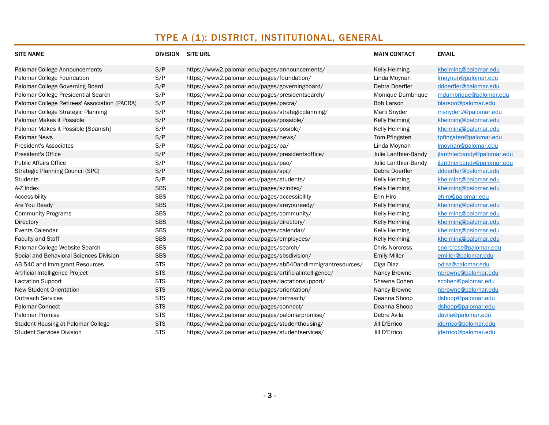# TYPE A (1): DISTRICT, INSTITUTIONAL, GENERAL

| <b>SITE NAME</b>                              |            | <b>DIVISION SITE URL</b>                                   | <b>MAIN CONTACT</b>   | <b>EMAIL</b>               |
|-----------------------------------------------|------------|------------------------------------------------------------|-----------------------|----------------------------|
| <b>Palomar College Announcements</b>          | S/P        | https://www2.palomar.edu/pages/announcements/              | <b>Kelly Helming</b>  | khelming@palomar.edu       |
| Palomar College Foundation                    | S/P        | https://www2.palomar.edu/pages/foundation/                 | Linda Moynan          | Imoynan@palomar.edu        |
| Palomar College Governing Board               | S/P        | https://www2.palomar.edu/pages/governingboard/             | Debra Doerfler        | ddoerfler@palomar.edu      |
| Palomar College Presidential Search           | S/P        | https://www2.palomar.edu/pages/presidentsearch/            | Monique Dumbrique     | mdumbrique@palomar.edu     |
| Palomar College Retirees' Association (PACRA) | S/P        | https://www2.palomar.edu/pages/pacra/                      | <b>Bob Larson</b>     | blarson@palomar.edu        |
| Palomar College Strategic Planning            | S/P        | https://www2.palomar.edu/pages/strategicplanning/          | Marti Snyder          | msnyder2@palomar.edu       |
| Palomar Makes it Possible                     | S/P        | https://www2.palomar.edu/pages/possible/                   | <b>Kelly Helming</b>  | khelming@palomar.edu       |
| Palomar Makes it Possible [Spanish]           | S/P        | https://www2.palomar.edu/pages/posible/                    | <b>Kelly Helming</b>  | khelming@palomar.edu       |
| <b>Palomar News</b>                           | S/P        | https://www2.palomar.edu/pages/news/                       | Tom Pfingsten         | tpfingsten@palomar.edu     |
| <b>President's Associates</b>                 | S/P        | https://www2.palomar.edu/pages/pa/                         | Linda Moynan          | Imoynan@palomar.edu        |
| <b>President's Office</b>                     | S/P        | https://www2.palomar.edu/pages/presidentsoffice/           | Julie Lanthier-Bandy  | jlanthierbandy@palomar.edu |
| <b>Public Affairs Office</b>                  | S/P        | https://www2.palomar.edu/pages/pao/                        | Julie Lanthier-Bandy  | jlanthierbandy@palomar.edu |
| Strategic Planning Council (SPC)              | S/P        | https://www2.palomar.edu/pages/spc/                        | Debra Doerfler        | ddoerfler@palomar.edu      |
| <b>Students</b>                               | S/P        | https://www2.palomar.edu/pages/students/                   | <b>Kelly Helming</b>  | khelming@palomar.edu       |
| A-Z Index                                     | <b>SBS</b> | https://www2.palomar.edu/pages/azindex/                    | <b>Kelly Helming</b>  | khelming@palomar.edu       |
| Accessibility                                 | <b>SBS</b> | https://www2.palomar.edu/pages/accessibility               | Erin Hiro             | ehiro@palomar.edu          |
| Are You Ready                                 | <b>SBS</b> | https://www2.palomar.edu/pages/areyouready/                | <b>Kelly Helming</b>  | khelming@palomar.edu       |
| <b>Community Programs</b>                     | <b>SBS</b> | https://www2.palomar.edu/pages/community/                  | <b>Kelly Helming</b>  | khelming@palomar.edu       |
| <b>Directory</b>                              | <b>SBS</b> | https://www2.palomar.edu/pages/directory/                  | <b>Kelly Helming</b>  | khelming@palomar.edu       |
| Events Calendar                               | <b>SBS</b> | https://www2.palomar.edu/pages/calendar/                   | Kelly Helming         | khelming@palomar.edu       |
| <b>Faculty and Staff</b>                      | <b>SBS</b> | https://www2.palomar.edu/pages/employees/                  | <b>Kelly Helming</b>  | khelming@palomar.edu       |
| Palomar College Website Search                | <b>SBS</b> | https://www2.palomar.edu/pages/search/                     | <b>Chris Norcross</b> | cnorcross@palomar.edu      |
| Social and Behavioral Sciences Division       | <b>SBS</b> | https://www2.palomar.edu/pages/sbsdivision/                | <b>Emily Miller</b>   | emiller@palomar.edu        |
| AB 540 and Immigrant Resources                | <b>STS</b> | https://www2.palomar.edu/pages/ab540andimmigrantresources/ | Olga Diaz             | odiaz@palomar.edu          |
| Artificial Intelligence Project               | <b>STS</b> | https://www2.palomar.edu/pages/artificialintelligence/     | Nancy Browne          | nbrowne@palomar.edu        |
| <b>Lactation Support</b>                      | <b>STS</b> | https://www2.palomar.edu/pages/lactationsupport/           | Shawna Cohen          | scohen@palomar.edu         |
| <b>New Student Orientation</b>                | <b>STS</b> | https://www2.palomar.edu/pages/orientation/                | Nancy Browne          | nbrowne@palomar.edu        |
| <b>Outreach Services</b>                      | <b>STS</b> | https://www2.palomar.edu/pages/outreach/                   | Deanna Shoop          | dshoop@palomar.edu         |
| <b>Palomar Connect</b>                        | <b>STS</b> | https://www2.palomar.edu/pages/connect/                    | Deanna Shoop          | dshoop@palomar.edu         |
| <b>Palomar Promise</b>                        | <b>STS</b> | https://www2.palomar.edu/pages/palomarpromise/             | Debra Avila           | davila@palomar.edu         |
| Student Housing at Palomar College            | <b>STS</b> | https://www2.palomar.edu/pages/studenthousing/             | Jill D'Errico         | jderrico@palomar.edu       |
| <b>Student Services Division</b>              | <b>STS</b> | https://www2.palomar.edu/pages/studentservices/            | Jill D'Errico         | jderrico@palomar.edu       |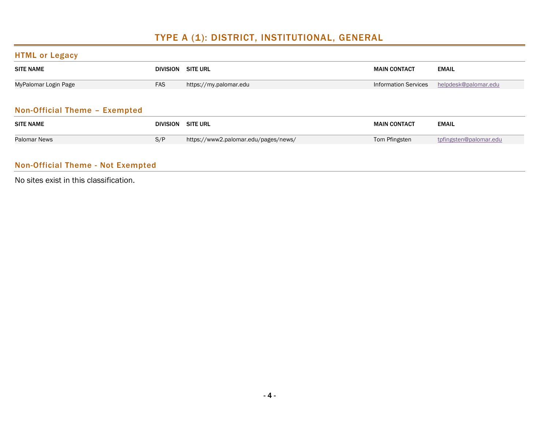# TYPE A (1): DISTRICT, INSTITUTIONAL, GENERAL

#### HTML or Legacy

| <b>SITE NAME</b>     | DIVISION SITE URL |                        | <b>MAIN CONTACT</b>         | <b>EMAIL</b>         |  |
|----------------------|-------------------|------------------------|-----------------------------|----------------------|--|
| MyPalomar Login Page | <b>FAS</b>        | https://my.palomar.edu | <b>Information Services</b> | helpdesk@palomar.edu |  |
|                      |                   |                        |                             |                      |  |

#### Non-Official Theme – Exempted

| <b>SITE NAME</b> | <b>DIVISION SITE URL</b> |                                      | <b>MAIN CONTACT</b> | <b>EMAIL</b>           |
|------------------|--------------------------|--------------------------------------|---------------------|------------------------|
| Palomar News     | S/P                      | https://www2.palomar.edu/pages/news/ | Tom Pfingsten       | tpfingsten@palomar.edu |

### Non-Official Theme - Not Exempted

No sites exist in this classification.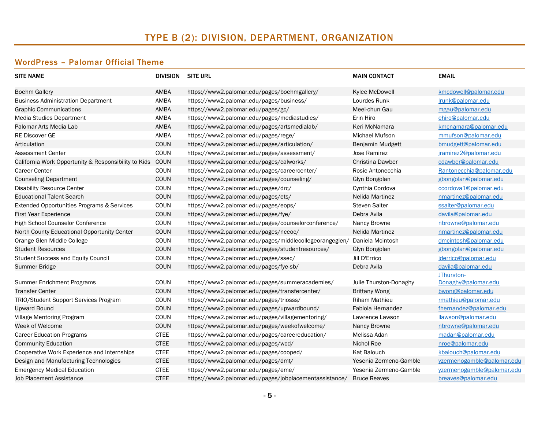#### WordPress – Palomar Official Theme

| <b>SITE NAME</b>                                     |             | <b>DIVISION SITE URL</b>                                | <b>MAIN CONTACT</b>     | <b>EMAIL</b>               |
|------------------------------------------------------|-------------|---------------------------------------------------------|-------------------------|----------------------------|
| <b>Boehm Gallery</b>                                 | AMBA        | https://www2.palomar.edu/pages/boehmgallery/            | Kylee McDowell          | kmcdowell@palomar.edu      |
| <b>Business Administration Department</b>            | AMBA        | https://www2.palomar.edu/pages/business/                | Lourdes Runk            | Irunk@palomar.edu          |
| <b>Graphic Communications</b>                        | AMBA        | https://www2.palomar.edu/pages/gc/                      | Meei-chun Gau           | mgau@palomar.edu           |
| <b>Media Studies Department</b>                      | AMBA        | https://www2.palomar.edu/pages/mediastudies/            | Erin Hiro               | ehiro@palomar.edu          |
| Palomar Arts Media Lab                               | AMBA        | https://www2.palomar.edu/pages/artsmedialab/            | Keri McNamara           | kmcnamara@palomar.edu      |
| <b>RE Discover GE</b>                                | AMBA        | https://www2.palomar.edu/pages/rege/                    | Michael Mufson          | mmufson@palomar.edu        |
| Articulation                                         | <b>COUN</b> | https://www2.palomar.edu/pages/articulation/            | Benjamin Mudgett        | bmudgett@palomar.edu       |
| Assessment Center                                    | COUN        | https://www2.palomar.edu/pages/assessment/              | Jose Ramirez            | jramirez2@palomar.edu      |
| California Work Opportunity & Responsibility to Kids | <b>COUN</b> | https://www2.palomar.edu/pages/calworks/                | <b>Christina Dawber</b> | cdawber@palomar.edu        |
| <b>Career Center</b>                                 | <b>COUN</b> | https://www2.palomar.edu/pages/careercenter/            | Rosie Antonecchia       | Rantonecchia@palomar.edu   |
| <b>Counseling Department</b>                         | <b>COUN</b> | https://www2.palomar.edu/pages/counseling/              | Glyn Bongolan           | gbongolan@palomar.edu      |
| <b>Disability Resource Center</b>                    | <b>COUN</b> | https://www2.palomar.edu/pages/drc/                     | Cynthia Cordova         | ccordova1@palomar.edu      |
| <b>Educational Talent Search</b>                     | <b>COUN</b> | https://www2.palomar.edu/pages/ets/                     | Nelida Martinez         | nmartinez@palomar.edu      |
| Extended Opportunities Programs & Services           | COUN        | https://www2.palomar.edu/pages/eops/                    | <b>Steven Salter</b>    | ssalter@palomar.edu        |
| <b>First Year Experience</b>                         | COUN        | https://www2.palomar.edu/pages/fye/                     | Debra Avila             | davila@palomar.edu         |
| High School Counselor Conference                     | COUN        | https://www2.palomar.edu/pages/counselorconference/     | Nancy Browne            | nbrowne@palomar.edu        |
| North County Educational Opportunity Center          | <b>COUN</b> | https://www2.palomar.edu/pages/nceoc/                   | Nelida Martinez         | nmartinez@palomar.edu      |
| Orange Glen Middle College                           | <b>COUN</b> | https://www2.palomar.edu/pages/middlecollegeorangeglen/ | Daniela Mcintosh        | dmcintosh@palomar.edu      |
| <b>Student Resources</b>                             | <b>COUN</b> | https://www2.palomar.edu/pages/studentresources/        | Glyn Bongolan           | gbongolan@palomar.edu      |
| <b>Student Success and Equity Council</b>            | COUN        | https://www2.palomar.edu/pages/ssec/                    | Jill D'Errico           | jderrico@palomar.edu       |
| Summer Bridge                                        | <b>COUN</b> | https://www2.palomar.edu/pages/fye-sb/                  | Debra Avila             | davila@palomar.edu         |
|                                                      |             |                                                         |                         | JThurston-                 |
| Summer Enrichment Programs                           | <b>COUN</b> | https://www2.palomar.edu/pages/summeracademies/         | Julie Thurston-Donaghy  | Donaghy@palomar.edu        |
| Transfer Center                                      | <b>COUN</b> | https://www2.palomar.edu/pages/transfercenter/          | <b>Brittany Wong</b>    | bwong@palomar.edu          |
| TRIO/Student Support Services Program                | COUN        | https://www2.palomar.edu/pages/triosss/                 | <b>Riham Mathieu</b>    | rmathieu@palomar.edu       |
| <b>Upward Bound</b>                                  | <b>COUN</b> | https://www2.palomar.edu/pages/upwardbound/             | Fabiola Hernandez       | fhernandez@palomar.edu     |
| Village Mentoring Program                            | <b>COUN</b> | https://www2.palomar.edu/pages/villagementoring/        | Lawrence Lawson         | llawson@palomar.edu        |
| Week of Welcome                                      | <b>COUN</b> | https://www2.palomar.edu/pages/weekofwelcome/           | Nancy Browne            | nbrowne@palomar.edu        |
| <b>Career Education Programs</b>                     | <b>CTEE</b> | https://www2.palomar.edu/pages/careereducation/         | Melissa Adan            | madan@palomar.edu          |
| <b>Community Education</b>                           | <b>CTEE</b> | https://www2.palomar.edu/pages/wcd/                     | Nichol Roe              | nroe@palomar.edu           |
| Cooperative Work Experience and Internships          | <b>CTEE</b> | https://www2.palomar.edu/pages/cooped/                  | Kat Balouch             | kbalouch@palomar.edu       |
| Design and Manufacturing Technologies                | <b>CTEE</b> | https://www2.palomar.edu/pages/dmt/                     | Yesenia Zermeno-Gamble  | yzermenogamble@palomar.edu |
| <b>Emergency Medical Education</b>                   | <b>CTEE</b> | https://www2.palomar.edu/pages/eme/                     | Yesenia Zermeno-Gamble  | yzermenogamble@palomar.edu |
| Job Placement Assistance                             | <b>CTEE</b> | https://www2.palomar.edu/pages/jobplacementassistance/  | <b>Bruce Reaves</b>     | breaves@palomar.edu        |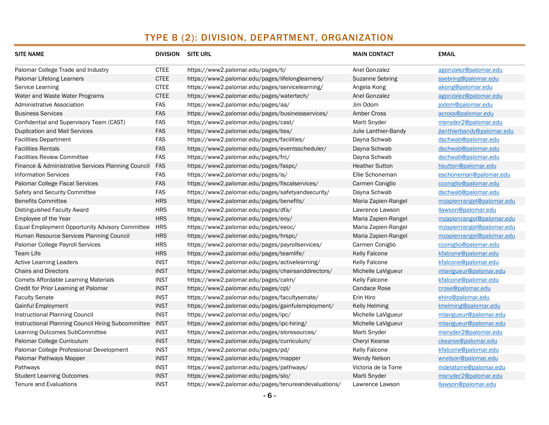| <b>SITE NAME</b>                                   | DIVISION SITE URL |                                                      | <b>MAIN CONTACT</b>    | <b>EMAIL</b>               |
|----------------------------------------------------|-------------------|------------------------------------------------------|------------------------|----------------------------|
| Palomar College Trade and Industry                 | <b>CTEE</b>       | https://www2.palomar.edu/pages/ti/                   | Anel Gonzalez          | agonzalez@palomar.edu      |
| Palomar Lifelong Learners                          | <b>CTEE</b>       | https://www2.palomar.edu/pages/lifelonglearners/     | <b>Suzanne Sebring</b> | ssebring@palomar.edu       |
| Service Learning                                   | <b>CTEE</b>       | https://www2.palomar.edu/pages/servicelearning/      | Angela Kong            | akong@palomar.edu          |
| Water and Waste Water Programs                     | <b>CTEE</b>       | https://www2.palomar.edu/pages/watertech/            | Anel Gonzalez          | agonzalez@palomar.edu      |
| <b>Administrative Association</b>                  | <b>FAS</b>        | https://www2.palomar.edu/pages/aa/                   | Jim Odom               | jodom@palomar.edu          |
| <b>Business Services</b>                           | <b>FAS</b>        | https://www2.palomar.edu/pages/businessservices/     | <b>Amber Cross</b>     | across@palomar.edu         |
| Confidential and Supervisory Team (CAST)           | <b>FAS</b>        | https://www2.palomar.edu/pages/cast/                 | Marti Snyder           | msnyder2@palomar.edu       |
| <b>Duplication and Mail Services</b>               | <b>FAS</b>        | https://www2.palomar.edu/pages/bss/                  | Julie Lanthier-Bandy   | jlanthierbandy@palomar.edu |
| <b>Facilities Department</b>                       | <b>FAS</b>        | https://www2.palomar.edu/pages/facilities/           | Dayna Schwab           | dschwab@palomar.edu        |
| <b>Facilities Rentals</b>                          | <b>FAS</b>        | https://www2.palomar.edu/pages/eventsscheduler/      | Dayna Schwab           | dschwab@palomar.edu        |
| <b>Facilities Review Committee</b>                 | <b>FAS</b>        | https://www2.palomar.edu/pages/frc/                  | Dayna Schwab           | dschwab@palomar.edu        |
| Finance & Administrative Services Planning Council | FAS               | https://www2.palomar.edu/pages/faspc/                | <b>Heather Sutton</b>  | hsutton@palomar.edu        |
| <b>Information Services</b>                        | <b>FAS</b>        | https://www2.palomar.edu/pages/is/                   | Ellie Schoneman        | eschoneman@palomar.edu     |
| Palomar College Fiscal Services                    | <b>FAS</b>        | https://www2.palomar.edu/pages/fiscalservices/       | Carmen Coniglio        | cconiglio@palomar.edu      |
| Safety and Security Committee                      | <b>FAS</b>        | https://www2.palomar.edu/pages/safetyandsecurity/    | Dayna Schwab           | dschwab@palomar.edu        |
| <b>Benefits Committee</b>                          | <b>HRS</b>        | https://www2.palomar.edu/pages/benefits/             | Maria Zapien-Rangel    | mzapienrangel@palomar.edu  |
| Distinguished Faculty Award                        | <b>HRS</b>        | https://www2.palomar.edu/pages/dfa/                  | Lawrence Lawson        | llawson@palomar.edu        |
| Employee of the Year                               | <b>HRS</b>        | https://www2.palomar.edu/pages/eoy/                  | Maria Zapien-Rangel    | mzapienrangel@palomar.edu  |
| Equal Employment Opportunity Advisory Committee    | <b>HRS</b>        | https://www2.palomar.edu/pages/eeoc/                 | Maria Zapien-Rangel    | mzapienrangel@palomar.edu  |
| Human Resource Services Planning Council           | <b>HRS</b>        | https://www2.palomar.edu/pages/hrspc/                | Maria Zapien-Rangel    | mzapienrangel@palomar.edu  |
| Palomar College Payroll Services                   | <b>HRS</b>        | https://www2.palomar.edu/pages/payrollservices/      | Carmen Coniglio        | cconiglio@palomar.edu      |
| Team Life                                          | <b>HRS</b>        | https://www2.palomar.edu/pages/teamlife/             | Kelly Falcone          | kfalcone@palomar.edu       |
| <b>Active Learning Leaders</b>                     | <b>INST</b>       | https://www2.palomar.edu/pages/activelearning/       | <b>Kelly Falcone</b>   | kfalcone@palomar.edu       |
| <b>Chairs and Directors</b>                        | <b>INST</b>       | https://www2.palomar.edu/pages/chairsanddirectors/   | Michelle LaVigueur     | mlavigueur@palomar.edu     |
| <b>Comets Affordable Learning Materials</b>        | <b>INST</b>       | https://www2.palomar.edu/pages/calm/                 | <b>Kelly Falcone</b>   | kfalcone@palomar.edu       |
| Credit for Prior Learning at Palomar               | <b>INST</b>       | https://www2.palomar.edu/pages/cpl/                  | <b>Candace Rose</b>    | crose@palomar.edu          |
| <b>Faculty Senate</b>                              | <b>INST</b>       | https://www2.palomar.edu/pages/facultysenate/        | Erin Hiro              | ehiro@palomar.edu          |
| Gainful Employment                                 | <b>INST</b>       | https://www2.palomar.edu/pages/gainfulemployment/    | <b>Kelly Helming</b>   | khelming@palomar.edu       |
| <b>Instructional Planning Council</b>              | <b>INST</b>       | https://www2.palomar.edu/pages/ipc/                  | Michelle LaVigueur     | mlavigueur@palomar.edu     |
| Instructional Planning Council Hiring Subcommittee | <b>INST</b>       | https://www2.palomar.edu/pages/ipc-hiring/           | Michelle LaVigueur     | mlavigueur@palomar.edu     |
| Learning Outcomes SubCommittee                     | <b>INST</b>       | https://www2.palomar.edu/pages/sloresources/         | Marti Snyder           | msnyder2@palomar.edu       |
| Palomar College Curriculum                         | <b>INST</b>       | https://www2.palomar.edu/pages/curriculum/           | <b>Cheryl Kearse</b>   | ckearse@palomar.edu        |
| Palomar College Professional Development           | <b>INST</b>       | https://www2.palomar.edu/pages/pd/                   | Kelly Falcone          | kfalcone@palomar.edu       |
| Palomar Pathways Mapper                            | <b>INST</b>       | https://www2.palomar.edu/pages/mapper                | <b>Wendy Nelson</b>    | wnelson@palomar.edu        |
| Pathways                                           | <b>INST</b>       | https://www2.palomar.edu/pages/pathways/             | Victoria de la Torre   | mdelatorre@palomar.edu     |
| <b>Student Learning Outcomes</b>                   | <b>INST</b>       | https://www2.palomar.edu/pages/slo/                  | Marti Snyder           | msnyder2@palomar.edu       |
| <b>Tenure and Evaluations</b>                      | <b>INST</b>       | https://www2.palomar.edu/pages/tenureandevaluations/ | Lawrence Lawson        | llawson@palomar.edu        |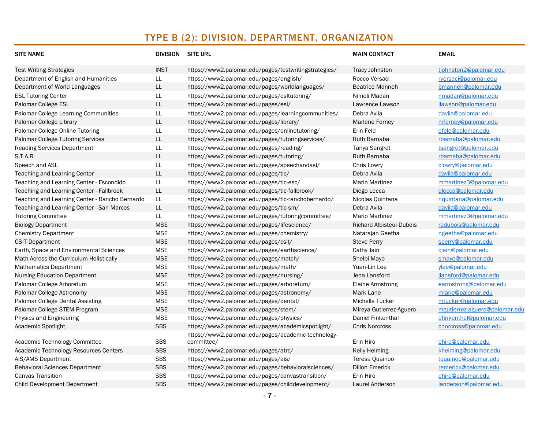| <b>SITE NAME</b>                               |               | DIVISION SITE URL                                                 | <b>MAIN CONTACT</b>      | <b>EMAIL</b>                  |
|------------------------------------------------|---------------|-------------------------------------------------------------------|--------------------------|-------------------------------|
| <b>Test Writing Strategies</b>                 | <b>INST</b>   | https://www2.palomar.edu/pages/testwritingstrategies/             | <b>Tracy Johnston</b>    | tjohnston2@palomar.edu        |
| Department of English and Humanities           | LL            | https://www2.palomar.edu/pages/english/                           | Rocco Versaci            | rversaci@palomar.edu          |
| Department of World Languages                  | LL            | https://www2.palomar.edu/pages/worldlanguages/                    | <b>Beatrice Manneh</b>   | bmanneh@palomar.edu           |
| <b>ESL Tutoring Center</b>                     | $\mathsf{LL}$ | https://www2.palomar.edu/pages/esitutoring/                       | Nimoli Madan             | nmadan@palomar.edu            |
| Palomar College ESL                            | LL.           | https://www2.palomar.edu/pages/esl/                               | Lawrence Lawson          | llawson@palomar.edu           |
| Palomar College Learning Communities           | LL.           | https://www2.palomar.edu/pages/learningcommunities/               | Debra Avila              | davila@palomar.edu            |
| Palomar College Library                        | $\mathsf{LL}$ | https://www2.palomar.edu/pages/library/                           | Marlene Forney           | mforney@palomar.edu           |
| Palomar College Online Tutoring                | LL.           | https://www2.palomar.edu/pages/onlinetutoring/                    | Erin Feld                | efeld@palomar.edu             |
| <b>Palomar College Tutoring Services</b>       | $\mathsf{LL}$ | https://www2.palomar.edu/pages/tutoringservices/                  | Ruth Barnaba             | rbarnaba@palomar.edu          |
| <b>Reading Services Department</b>             | $\mathsf{LL}$ | https://www2.palomar.edu/pages/reading/                           | <b>Tanya Sangret</b>     | tsangret@palomar.edu          |
| <b>S.T.A.R.</b>                                | LL.           | https://www2.palomar.edu/pages/tutoring/                          | Ruth Barnaba             | rbarnaba@palomar.edu          |
| Speech and ASL                                 | LL            | https://www2.palomar.edu/pages/speechandasl/                      | Chris Lowry              | clowry@palomar.edu            |
| Teaching and Learning Center                   | LL            | https://www2.palomar.edu/pages/tlc/                               | Debra Avila              | davila@palomar.edu            |
| Teaching and Learning Center - Escondido       | LL            | https://www2.palomar.edu/pages/tlc-esc/                           | <b>Mario Martinez</b>    | mmartinez3@palomar.edu        |
| Teaching and Learning Center - Fallbrook       | LL            | https://www2.palomar.edu/pages/tlc-fallbrook/                     | Diego Lecca              | dlecca@palomar.edu            |
| Teaching and Learning Center - Rancho Bernardo | LL.           | https://www2.palomar.edu/pages/tlc-ranchobernardo/                | Nicolas Quintana         | nquintana@palomar.edu         |
| Teaching and Learning Center - San Marcos      | LL.           | https://www2.palomar.edu/pages/tlc-sm/                            | Debra Avila              | davila@palomar.edu            |
| <b>Tutoring Committee</b>                      | LL.           | https://www2.palomar.edu/pages/tutoringcommittee/                 | Mario Martinez           | mmartinez3@palomar.edu        |
| <b>Biology Department</b>                      | <b>MSE</b>    | https://www2.palomar.edu/pages/lifescience/                       | Richard Albisteui-Dubois | radubois@palomar.edu          |
| <b>Chemistry Department</b>                    | <b>MSE</b>    | https://www2.palomar.edu/pages/chemistry/                         | Natarajan Geetha         | ngeetha@palomar.edu           |
| <b>CSIT Department</b>                         | <b>MSE</b>    | https://www2.palomar.edu/pages/csit/                              | <b>Steve Perry</b>       | sperry@palomar.edu            |
| Earth, Space and Environmental Sciences        | <b>MSE</b>    | https://www2.palomar.edu/pages/earthscience/                      | Cathy Jain               | cjain@palomar.edu             |
| Math Across the Curriculum Holistically        | <b>MSE</b>    | https://www2.palomar.edu/pages/match/                             | Shelbi Mayo              | smayo@palomar.edu             |
| <b>Mathematics Department</b>                  | <b>MSE</b>    | https://www2.palomar.edu/pages/math/                              | Yuan-Lin Lee             | ylee@palomar.edu              |
| <b>Nursing Education Department</b>            | <b>MSE</b>    | https://www2.palomar.edu/pages/nursing/                           | Jena Lansford            | jlansford@palomar.edu         |
| Palomar College Arboretum                      | <b>MSE</b>    | https://www2.palomar.edu/pages/arboretum/                         | <b>Elaine Armstrong</b>  | earmstrong@palomar.edu        |
| Palomar College Astronomy                      | <b>MSE</b>    | https://www2.palomar.edu/pages/astronomy/                         | Mark Lane                | mlane@palomar.edu             |
| Palomar College Dental Assisting               | <b>MSE</b>    | https://www2.palomar.edu/pages/dental/                            | Michelle Tucker          | mtucker@palomar.edu           |
| Palomar College STEM Program                   | <b>MSE</b>    | https://www2.palomar.edu/pages/stem/                              | Mireya Gutierrez-Aguero  | mgutierrez-aguero@palomar.edu |
| Physics and Engineering                        | <b>MSE</b>    | https://www2.palomar.edu/pages/physics/                           | <b>Daniel Finkenthal</b> | dfinkenthal@palomar.edu       |
| Academic Spotlight                             | <b>SBS</b>    | https://www2.palomar.edu/pages/academicspotlight/                 | <b>Chris Norcross</b>    | cnorcross@palomar.edu         |
| Academic Technology Committee                  | <b>SBS</b>    | https://www2.palomar.edu/pages/academic-technology-<br>committee/ | Erin Hiro                | ehiro@palomar.edu             |
| Academic Technology Resources Centers          | <b>SBS</b>    | https://www2.palomar.edu/pages/atrc/                              | <b>Kelly Helming</b>     | khelming@palomar.edu          |
| AIS/AMS Department                             | <b>SBS</b>    | https://www2.palomar.edu/pages/ais/                               | Teresa Quainoo           | tquainoo@palomar.edu          |
| <b>Behavioral Sciences Department</b>          | <b>SBS</b>    | https://www2.palomar.edu/pages/behavioralsciences/                | <b>Dillon Emerick</b>    | remerick@palomar.edu          |
| <b>Canvas Transition</b>                       | <b>SBS</b>    | https://www2.palomar.edu/pages/canvastransition/                  | Erin Hiro                | ehiro@palomar.edu             |
| <b>Child Development Department</b>            | <b>SBS</b>    | https://www2.palomar.edu/pages/childdevelopment/                  | Laurel Anderson          | landerson@palomar.edu         |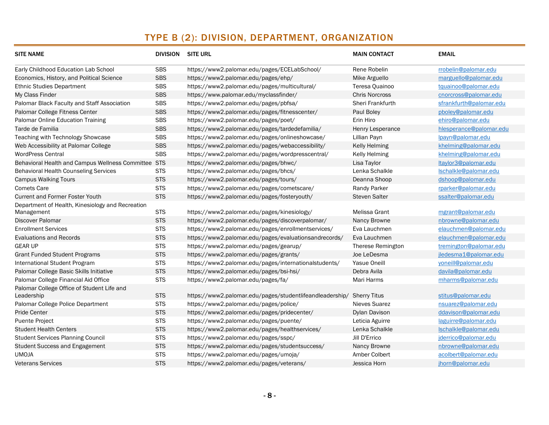| <b>SITE NAME</b>                                 |            | <b>DIVISION SITE URL</b>                                 | <b>MAIN CONTACT</b>   | <b>EMAIL</b>            |
|--------------------------------------------------|------------|----------------------------------------------------------|-----------------------|-------------------------|
| Early Childhood Education Lab School             | <b>SBS</b> | https://www2.palomar.edu/pages/ECELabSchool/             | Rene Robelin          | rrobelin@palomar.edu    |
| Economics, History, and Political Science        | <b>SBS</b> | https://www2.palomar.edu/pages/ehp/                      | Mike Arguello         | marguello@palomar.edu   |
| <b>Ethnic Studies Department</b>                 | <b>SBS</b> | https://www2.palomar.edu/pages/multicultural/            | Teresa Quainoo        | tquainoo@palomar.edu    |
| My Class Finder                                  | <b>SBS</b> | https://www.palomar.edu/myclassfinder/                   | <b>Chris Norcross</b> | cnorcross@palomar.edu   |
| Palomar Black Faculty and Staff Association      | <b>SBS</b> | https://www2.palomar.edu/pages/pbfsa/                    | Sheri Frankfurth      | sfrankfurth@palomar.edu |
| Palomar College Fitness Center                   | <b>SBS</b> | https://www2.palomar.edu/pages/fitnesscenter/            | Paul Boley            | pboley@palomar.edu      |
| Palomar Online Education Training                | <b>SBS</b> | https://www2.palomar.edu/pages/poet/                     | Erin Hiro             | ehiro@palomar.edu       |
| Tarde de Familia                                 | <b>SBS</b> | https://www2.palomar.edu/pages/tardedefamilia/           | Henry Lesperance      | hlesperance@palomar.edu |
| Teaching with Technology Showcase                | <b>SBS</b> | https://www2.palomar.edu/pages/onlineshowcase/           | Lillian Payn          | lpayn@palomar.edu       |
| Web Accessibility at Palomar College             | <b>SBS</b> | https://www2.palomar.edu/pages/webaccessibility/         | <b>Kelly Helming</b>  | khelming@palomar.edu    |
| <b>WordPress Central</b>                         | <b>SBS</b> | https://www2.palomar.edu/pages/wordpresscentral/         | <b>Kelly Helming</b>  | khelming@palomar.edu    |
| Behavioral Health and Campus Wellness Committee  | <b>STS</b> | https://www2.palomar.edu/pages/bhwc/                     | Lisa Taylor           | ltaylor3@palomar.edu    |
| <b>Behavioral Health Counseling Services</b>     | <b>STS</b> | https://www2.palomar.edu/pages/bhcs/                     | Lenka Schalkle        | Ischalkle@palomar.edu   |
| <b>Campus Walking Tours</b>                      | <b>STS</b> | https://www2.palomar.edu/pages/tours/                    | Deanna Shoop          | dshoop@palomar.edu      |
| <b>Comets Care</b>                               | <b>STS</b> | https://www2.palomar.edu/pages/cometscare/               | Randy Parker          | rparker@palomar.edu     |
| <b>Current and Former Foster Youth</b>           | <b>STS</b> | https://www2.palomar.edu/pages/fosteryouth/              | <b>Steven Salter</b>  | ssalter@palomar.edu     |
| Department of Health, Kinesiology and Recreation |            |                                                          |                       |                         |
| Management                                       | <b>STS</b> | https://www2.palomar.edu/pages/kinesiology/              | Melissa Grant         | mgrant@palomar.edu      |
| <b>Discover Palomar</b>                          | <b>STS</b> | https://www2.palomar.edu/pages/discoverpalomar/          | Nancy Browne          | nbrowne@palomar.edu     |
| <b>Enrollment Services</b>                       | <b>STS</b> | https://www2.palomar.edu/pages/enrollmentservices/       | Eva Lauchmen          | elauchmen@palomar.edu   |
| <b>Evaluations and Records</b>                   | <b>STS</b> | https://www2.palomar.edu/pages/evaluationsandrecords/    | Eva Lauchmen          | elauchmen@palomar.edu   |
| <b>GEAR UP</b>                                   | <b>STS</b> | https://www2.palomar.edu/pages/gearup/                   | Therese Remington     | tremington@palomar.edu  |
| <b>Grant Funded Student Programs</b>             | <b>STS</b> | https://www2.palomar.edu/pages/grants/                   | Joe LeDesma           | jledesma1@palomar.edu   |
| International Student Program                    | <b>STS</b> | https://www2.palomar.edu/pages/internationalstudents/    | <b>Yasue Oneill</b>   | yoneill@palomar.edu     |
| Palomar College Basic Skills Initiative          | <b>STS</b> | https://www2.palomar.edu/pages/bsi-hsi/                  | Debra Avila           | davila@palomar.edu      |
| Palomar College Financial Aid Office             | <b>STS</b> | https://www2.palomar.edu/pages/fa/                       | Mari Harms            | mharms@palomar.edu      |
| Palomar College Office of Student Life and       |            |                                                          |                       |                         |
| Leadership                                       | <b>STS</b> | https://www2.palomar.edu/pages/studentlifeandleadership/ | <b>Sherry Titus</b>   | stitus@palomar.edu      |
| Palomar College Police Department                | <b>STS</b> | https://www2.palomar.edu/pages/police/                   | Nieves Suarez         | nsuarez@palomar.edu     |
| <b>Pride Center</b>                              | <b>STS</b> | https://www2.palomar.edu/pages/pridecenter/              | Dylan Davison         | ddavison@palomar.edu    |
| <b>Puente Project</b>                            | <b>STS</b> | https://www2.palomar.edu/pages/puente/                   | Leticia Aguirre       | laguirre@palomar.edu    |
| <b>Student Health Centers</b>                    | <b>STS</b> | https://www2.palomar.edu/pages/healthservices/           | Lenka Schalkle        | Ischalkle@palomar.edu   |
| <b>Student Services Planning Council</b>         | <b>STS</b> | https://www2.palomar.edu/pages/sspc/                     | Jill D'Errico         | jderrico@palomar.edu    |
| <b>Student Success and Engagement</b>            | <b>STS</b> | https://www2.palomar.edu/pages/studentsuccess/           | Nancy Browne          | nbrowne@palomar.edu     |
| <b>UMOJA</b>                                     | <b>STS</b> | https://www2.palomar.edu/pages/umoja/                    | Amber Colbert         | acolbert@palomar.edu    |
| <b>Veterans Services</b>                         | <b>STS</b> | https://www2.palomar.edu/pages/veterans/                 | Jessica Horn          | jhorn@palomar.edu       |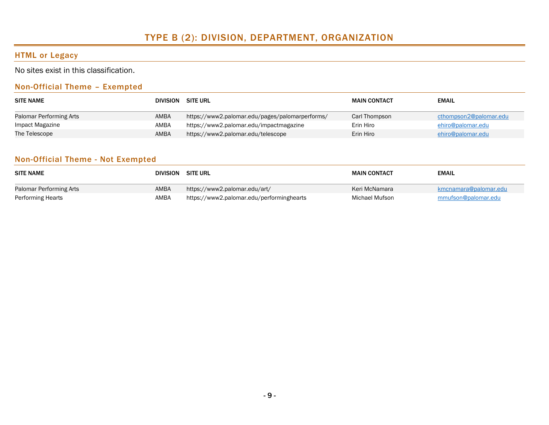### HTML or Legacy

No sites exist in this classification.

#### Non-Official Theme – Exempted

| <b>SITE NAME</b>        | DIVISION SITE URL |                                                 | <b>MAIN CONTACT</b> | <b>EMAIL</b>           |
|-------------------------|-------------------|-------------------------------------------------|---------------------|------------------------|
| Palomar Performing Arts | AMBA              | https://www2.palomar.edu/pages/palomarperforms/ | Carl Thompson       | cthompson2@palomar.edu |
| Impact Magazine         | AMBA              | https://www2.palomar.edu/impactmagazine         | Erin Hiro           | ehiro@palomar.edu      |
| The Telescope           | AMBA              | https://www2.palomar.edu/telescope              | Erin Hiro           | ehiro@palomar.edu      |

#### Non-Official Theme - Not Exempted

| <b>SITE NAME</b>        | <b>DIVISION</b> | <b>SITE URL</b>                           | <b>MAIN CONTACT</b> | <b>EMAIL</b>          |
|-------------------------|-----------------|-------------------------------------------|---------------------|-----------------------|
| Palomar Performing Arts | AMBA            | https://www2.palomar.edu/art/             | Keri McNamara       | kmcnamara@palomar.edu |
| Performing Hearts       | AMBA            | https://www2.palomar.edu/performinghearts | Michael Mufson      | mmufson@palomar.edu   |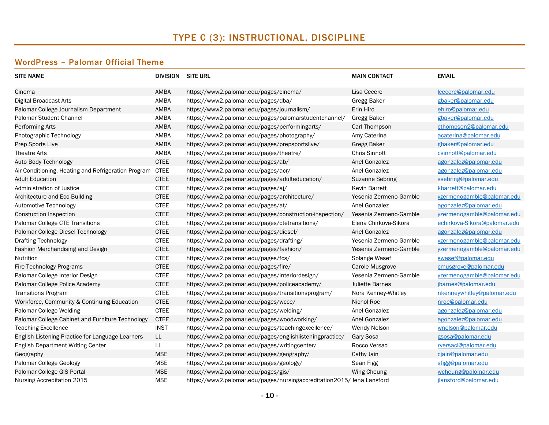# TYPE C (3): INSTRUCTIONAL, DISCIPLINE

### WordPress – Palomar Official Theme

| <b>SITE NAME</b>                                    |             | <b>DIVISION SITE URL</b>                                              | <b>MAIN CONTACT</b>    | <b>EMAIL</b>                 |
|-----------------------------------------------------|-------------|-----------------------------------------------------------------------|------------------------|------------------------------|
| Cinema                                              | AMBA        | https://www2.palomar.edu/pages/cinema/                                | Lisa Cecere            | lcecere@palomar.edu          |
| <b>Digital Broadcast Arts</b>                       | AMBA        | https://www2.palomar.edu/pages/dba/                                   | <b>Gregg Baker</b>     | gbaker@palomar.edu           |
| Palomar College Journalism Department               | AMBA        | https://www2.palomar.edu/pages/journalism/                            | Erin Hiro              | ehiro@palomar.edu            |
| <b>Palomar Student Channel</b>                      | AMBA        | https://www2.palomar.edu/pages/palomarstudentchannel/                 | Gregg Baker            | gbaker@palomar.edu           |
| Performing Arts                                     | AMBA        | https://www2.palomar.edu/pages/performingarts/                        | Carl Thompson          | cthompson2@palomar.edu       |
| Photographic Technology                             | AMBA        | https://www2.palomar.edu/pages/photography/                           | Amy Caterina           | acaterina@palomar.edu        |
| Prep Sports Live                                    | AMBA        | https://www2.palomar.edu/pages/prepsportslive/                        | <b>Gregg Baker</b>     | gbaker@palomar.edu           |
| <b>Theatre Arts</b>                                 | AMBA        | https://www2.palomar.edu/pages/theatre/                               | <b>Chris Sinnott</b>   | csinnott@palomar.edu         |
| Auto Body Technology                                | <b>CTEE</b> | https://www2.palomar.edu/pages/ab/                                    | Anel Gonzalez          | agonzalez@palomar.edu        |
| Air Conditioning, Heating and Refrigeration Program | <b>CTEE</b> | https://www2.palomar.edu/pages/acr/                                   | Anel Gonzalez          | agonzalez@palomar.edu        |
| <b>Adult Education</b>                              | <b>CTEE</b> | https://www2.palomar.edu/pages/adulteducation/                        | <b>Suzanne Sebring</b> | ssebring@palomar.edu         |
| Administration of Justice                           | <b>CTEE</b> | https://www2.palomar.edu/pages/aj/                                    | Kevin Barrett          | kbarrett@palomar.edu         |
| Architecture and Eco-Building                       | <b>CTEE</b> | https://www2.palomar.edu/pages/architecture/                          | Yesenia Zermeno-Gamble | yzermenogamble@palomar.edu   |
| Automotive Technology                               | <b>CTEE</b> | https://www2.palomar.edu/pages/at/                                    | Anel Gonzalez          | agonzalez@palomar.edu        |
| <b>Constuction Inspection</b>                       | <b>CTEE</b> | https://www2.palomar.edu/pages/construction-inspection/               | Yesenia Zermeno-Gamble | yzermenogamble@palomar.edu   |
| Palomar College CTE Transitions                     | <b>CTEE</b> | https://www2.palomar.edu/pages/ctetransitions/                        | Elena Chirkova-Sikora  | echirkova-Sikora@palomar.edu |
| Palomar College Diesel Technology                   | <b>CTEE</b> | https://www2.palomar.edu/pages/diesel/                                | Anel Gonzalez          | agonzalez@palomar.edu        |
| <b>Drafting Technology</b>                          | <b>CTEE</b> | https://www2.palomar.edu/pages/drafting/                              | Yesenia Zermeno-Gamble | yzermenogamble@palomar.edu   |
| Fashion Merchandising and Design                    | <b>CTEE</b> | https://www2.palomar.edu/pages/fashion/                               | Yesenia Zermeno-Gamble | yzermenogamble@palomar.edu   |
| Nutrition                                           | <b>CTEE</b> | https://www2.palomar.edu/pages/fcs/                                   | Solange Wasef          | swasef@palomar.edu           |
| Fire Technology Programs                            | <b>CTEE</b> | https://www2.palomar.edu/pages/fire/                                  | Carole Musgrove        | cmusgrove@palomar.edu        |
| Palomar College Interior Design                     | <b>CTEE</b> | https://www2.palomar.edu/pages/interiordesign/                        | Yesenia Zermeno-Gamble | yzermenogamble@palomar.edu   |
| Palomar College Police Academy                      | <b>CTEE</b> | https://www2.palomar.edu/pages/policeacademy/                         | Juliette Barnes        | jbarnes@palomar.edu          |
| <b>Transitions Program</b>                          | <b>CTEE</b> | https://www2.palomar.edu/pages/transitionsprogram/                    | Nora Kenney-Whitley    | nkenneywhitley@palomar.edu   |
| Workforce, Community & Continuing Education         | <b>CTEE</b> | https://www2.palomar.edu/pages/wcce/                                  | Nichol Roe             | nroe@palomar.edu             |
| Palomar College Welding                             | <b>CTEE</b> | https://www2.palomar.edu/pages/welding/                               | Anel Gonzalez          | agonzalez@palomar.edu        |
| Palomar College Cabinet and Furniture Technology    | <b>CTEE</b> | https://www2.palomar.edu/pages/woodworking/                           | Anel Gonzalez          | agonzalez@palomar.edu        |
| <b>Teaching Excellence</b>                          | <b>INST</b> | https://www2.palomar.edu/pages/teachingexcellence/                    | <b>Wendy Nelson</b>    | wnelson@palomar.edu          |
| English Listening Practice for Language Learners    | LL.         | https://www2.palomar.edu/pages/englishlisteningpractice/              | Gary Sosa              | gsosa@palomar.edu            |
| English Department Writing Center                   | LL          | https://www2.palomar.edu/pages/writingcenter/                         | Rocco Versaci          | rversaci@palomar.edu         |
| Geography                                           | <b>MSE</b>  | https://www2.palomar.edu/pages/geography/                             | Cathy Jain             | cjain@palomar.edu            |
| Palomar College Geology                             | <b>MSE</b>  | https://www2.palomar.edu/pages/geology/                               | Sean Figg              | sfigg@palomar.edu            |
| Palomar College GIS Portal                          | <b>MSE</b>  | https://www2.palomar.edu/pages/gis/                                   | Wing Cheung            | wcheung@palomar.edu          |
| Nursing Accreditation 2015                          | <b>MSE</b>  | https://www2.palomar.edu/pages/nursingaccreditation2015/Jena Lansford |                        | jlansford@palomar.edu        |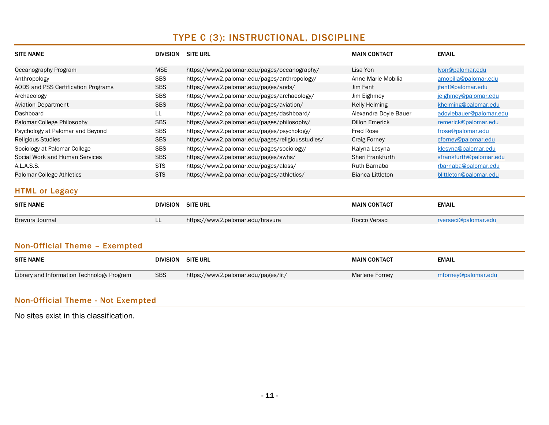# TYPE C (3): INSTRUCTIONAL, DISCIPLINE

| <b>SITE NAME</b>                           | <b>DIVISION SITE URL</b> |                                                  | <b>MAIN CONTACT</b>     | <b>EMAIL</b>            |
|--------------------------------------------|--------------------------|--------------------------------------------------|-------------------------|-------------------------|
| Oceanography Program                       | <b>MSE</b>               | https://www2.palomar.edu/pages/oceanography/     | Lisa Yon                | lyon@palomar.edu        |
| Anthropology                               | <b>SBS</b>               | https://www2.palomar.edu/pages/anthropology/     | Anne Marie Mobilia      | amobilia@palomar.edu    |
| AODS and PSS Certification Programs        | <b>SBS</b>               | https://www2.palomar.edu/pages/aods/             | Jim Fent                | jfent@palomar.edu       |
| Archaeology                                | <b>SBS</b>               | https://www2.palomar.edu/pages/archaeology/      | Jim Eighmey             | jeighmey@palomar.edu    |
| <b>Aviation Department</b>                 | <b>SBS</b>               | https://www2.palomar.edu/pages/aviation/         | <b>Kelly Helming</b>    | khelming@palomar.edu    |
| Dashboard                                  | LL.                      | https://www2.palomar.edu/pages/dashboard/        | Alexandra Doyle Bauer   | adoylebauer@palomar.edu |
| Palomar College Philosophy                 | <b>SBS</b>               | https://www2.palomar.edu/pages/philosophy/       | <b>Dillon Emerick</b>   | remerick@palomar.edu    |
| Psychology at Palomar and Beyond           | <b>SBS</b>               | https://www2.palomar.edu/pages/psychology/       | <b>Fred Rose</b>        | frose@palomar.edu       |
| <b>Religious Studies</b>                   | <b>SBS</b>               | https://www2.palomar.edu/pages/religiousstudies/ | <b>Craig Forney</b>     | cforney@palomar.edu     |
| Sociology at Palomar College               | <b>SBS</b>               | https://www2.palomar.edu/pages/sociology/        | Kalyna Lesyna           | klesyna@palomar.edu     |
| Social Work and Human Services             | <b>SBS</b>               | https://www2.palomar.edu/pages/swhs/             | <b>Sheri Frankfurth</b> | sfrankfurth@palomar.edu |
| A.L.A.S.S.                                 | <b>STS</b>               | https://www2.palomar.edu/pages/alass/            | <b>Ruth Barnaba</b>     | rbarnaba@palomar.edu    |
| Palomar College Athletics                  | <b>STS</b>               | https://www2.palomar.edu/pages/athletics/        | <b>Bianca Littleton</b> | blittleton@palomar.edu  |
| <b>HTML or Legacy</b>                      |                          |                                                  |                         |                         |
| <b>SITE NAME</b>                           | <b>DIVISION</b>          | <b>SITE URL</b>                                  | <b>MAIN CONTACT</b>     | <b>EMAIL</b>            |
| Bravura Journal                            | LL.                      | https://www2.palomar.edu/bravura                 | Rocco Versaci           | rversaci@palomar.edu    |
| Non-Official Theme - Exempted              |                          |                                                  |                         |                         |
|                                            |                          |                                                  |                         |                         |
| <b>SITE NAME</b>                           | <b>DIVISION</b>          | <b>SITE URL</b>                                  | <b>MAIN CONTACT</b>     | <b>EMAIL</b>            |
| Library and Information Technology Program | <b>SBS</b>               | https://www2.palomar.edu/pages/lit/              | <b>Marlene Forney</b>   | mforney@palomar.edu     |

## Non-Official Theme - Not Exempted

No sites exist in this classification.